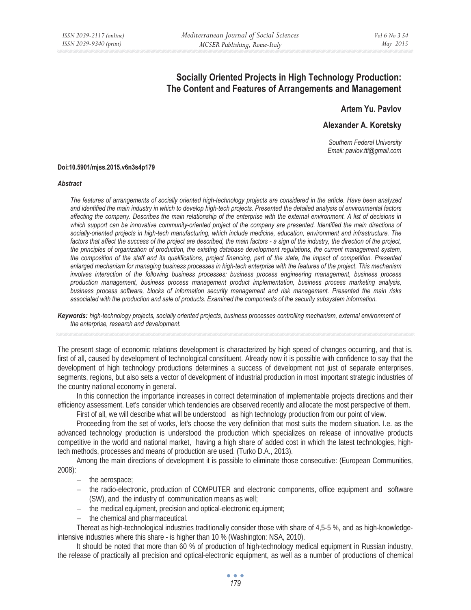# **Socially Oriented Projects in High Technology Production: The Content and Features of Arrangements and Management**

**Artem Yu. Pavlov** 

## **Alexander A. Koretsky**

*Southern Federal University Email: pavlov.tti@gmail.com* 

#### **Doi:10.5901/mjss.2015.v6n3s4p179**

#### *Abstract*

*The features of arrangements of socially oriented high-technology projects are considered in the article. Have been analyzed and identified the main industry in which to develop high-tech projects. Presented the detailed analysis of environmental factors affecting the company. Describes the main relationship of the enterprise with the external environment. A list of decisions in which support can be innovative community-oriented project of the company are presented. Identified the main directions of socially-oriented projects in high-tech manufacturing, which include medicine, education, environment and infrastructure. The factors that affect the success of the project are described, the main factors - a sign of the industry, the direction of the project, the principles of organization of production, the existing database development regulations, the current management system, the composition of the staff and its qualifications, project financing, part of the state, the impact of competition. Presented enlarged mechanism for managing business processes in high-tech enterprise with the features of the project. This mechanism involves interaction of the following business processes: business process engineering management, business process production management, business process management product implementation, business process marketing analysis, business process software, blocks of information security management and risk management. Presented the main risks associated with the production and sale of products. Examined the components of the security subsystem information.* 

*Keywords: high-technology projects, socially oriented projects, business processes controlling mechanism, external environment of the enterprise, research and development.* 

The present stage of economic relations development is characterized by high speed of changes occurring, and that is, first of all, caused by development of technological constituent. Already now it is possible with confidence to say that the development of high technology productions determines a success of development not just of separate enterprises, segments, regions, but also sets a vector of development of industrial production in most important strategic industries of the country national economy in general.

In this connection the importance increases in correct determination of implementable projects directions and their efficiency assessment. Let's consider which tendencies are observed recently and allocate the most perspective of them.

First of all, we will describe what will be understood as high technology production from our point of view.

Proceeding from the set of works, let's choose the very definition that most suits the modern situation. I.e. as the advanced technology production is understood the production which specializes on release of innovative products competitive in the world and national market, having a high share of added cost in which the latest technologies, hightech methods, processes and means of production are used. (Turko D.A., 2013).

Among the main directions of development it is possible to eliminate those consecutive: (European Communities, 2008):

- − the aerospace;
- − the radio-electronic, production of COMPUTER and electronic components, office equipment and software (SW), and the industry of communication means as well;
- − the medical equipment, precision and optical-electronic equipment;
- − the chemical and pharmaceutical.

Thereat as high-technological industries traditionally consider those with share of 4,5-5 %, and as high-knowledgeintensive industries where this share - is higher than 10 % (Washington: NSA, 2010).

It should be noted that more than 60 % of production of high-technology medical equipment in Russian industry, the release of practically all precision and optical-electronic equipment, as well as a number of productions of chemical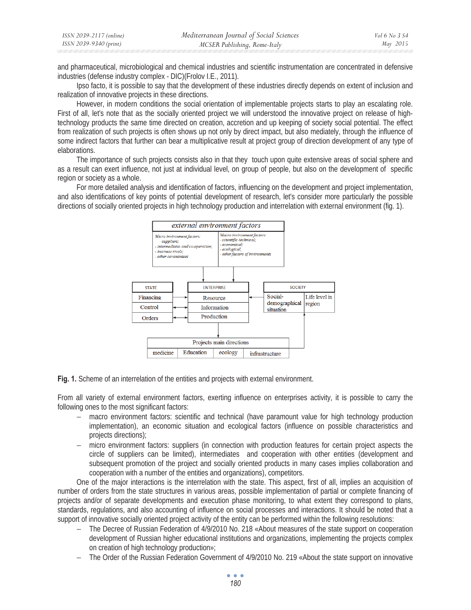| ISSN 2039-2117 (online) | Mediterranean Journal of Social Sciences | Vol 6 No 3 S4 |
|-------------------------|------------------------------------------|---------------|
| ISSN 2039-9340 (print)  | MCSER Publishing, Rome-Italy             | May 2015      |

and pharmaceutical, microbiological and chemical industries and scientific instrumentation are concentrated in defensive industries (defense industry complex - DIC)(Frolov I.E., 2011).

Ipso facto, it is possible to say that the development of these industries directly depends on extent of inclusion and realization of innovative projects in these directions.

However, in modern conditions the social orientation of implementable projects starts to play an escalating role. First of all, let's note that as the socially oriented project we will understood the innovative project on release of hightechnology products the same time directed on creation, accretion and up keeping of society social potential. The effect from realization of such projects is often shows up not only by direct impact, but also mediately, through the influence of some indirect factors that further can bear a multiplicative result at project group of direction development of any type of elaborations.

The importance of such projects consists also in that they touch upon quite extensive areas of social sphere and as a result can exert influence, not just at individual level, on group of people, but also on the development of specific region or society as a whole.

For more detailed analysis and identification of factors, influencing on the development and project implementation, and also identifications of key points of potential development of research, let's consider more particularly the possible directions of socially oriented projects in high technology production and interrelation with external environment (fig. 1).



Fig. 1. Scheme of an interrelation of the entities and projects with external environment.

From all variety of external environment factors, exerting influence on enterprises activity, it is possible to carry the following ones to the most significant factors:

- − macro environment factors: scientific and technical (have paramount value for high technology production implementation), an economic situation and ecological factors (influence on possible characteristics and projects directions);
- − micro environment factors: suppliers (in connection with production features for certain project aspects the circle of suppliers can be limited), intermediates and cooperation with other entities (development and subsequent promotion of the project and socially oriented products in many cases implies collaboration and cooperation with a number of the entities and organizations), competitors.

One of the major interactions is the interrelation with the state. This aspect, first of all, implies an acquisition of number of orders from the state structures in various areas, possible implementation of partial or complete financing of projects and/or of separate developments and execution phase monitoring, to what extent they correspond to plans, standards, regulations, and also accounting of influence on social processes and interactions. It should be noted that a support of innovative socially oriented project activity of the entity can be performed within the following resolutions:

- − The Decree of Russian Federation of 4/9/2010 No. 218 «About measures of the state support on cooperation development of Russian higher educational institutions and organizations, implementing the projects complex on creation of high technology production»;
- − The Order of the Russian Federation Government of 4/9/2010 No. 219 «About the state support on innovative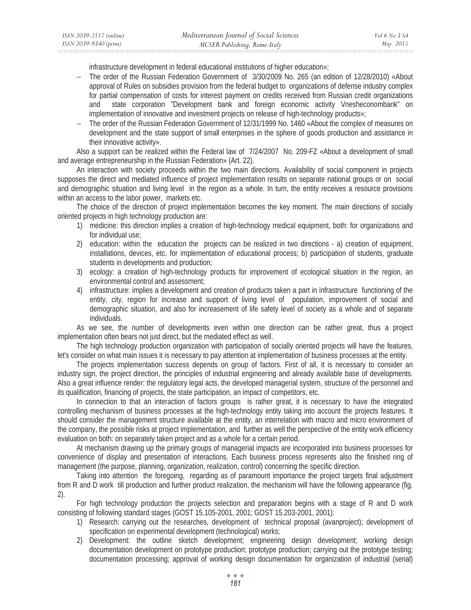infrastructure development in federal educational institutions of higher education»;

- − The order of the Russian Federation Government of 3/30/2009 No. 265 (an edition of 12/28/2010) «About approval of Rules on subsidies provision from the federal budget to organizations of defense industry complex for partial compensation of costs for interest payment on credits received from Russian credit organizations and state corporation "Development bank and foreign economic activity Vnesheconombank" on implementation of innovative and investment projects on release of high-technology products»;
- − The order of the Russian Federation Government of 12/31/1999 No. 1460 «About the complex of measures on development and the state support of small enterprises in the sphere of goods production and assistance in their innovative activity».

Also a support can be realized within the Federal law of 7/24/2007 No. 209-FZ «About a development of small and average entrepreneurship in the Russian Federation» (Art. 22).

An interaction with society proceeds within the two main directions. Availability of social component in projects supposes the direct and mediated influence of project implementation results on separate national groups or on social and demographic situation and living level in the region as a whole. In turn, the entity receives a resource provisions within an access to the labor power, markets etc.

The choice of the direction of project implementation becomes the key moment. The main directions of socially oriented projects in high technology production are:

- 1) medicine: this direction implies a creation of high-technology medical equipment, both: for organizations and for individual use;
- 2) education: within the education the projects can be realized in two directions a) creation of equipment, installations, devices, etc. for implementation of educational process; b) participation of students, graduate students in developments and production;
- 3) ecology: a creation of high-technology products for improvement of ecological situation in the region, an environmental control and assessment;
- 4) infrastructure: implies a development and creation of products taken a part in infrastructure functioning of the entity, city, region for increase and support of living level of population, improvement of social and demographic situation, and also for increasement of life safety level of society as a whole and of separate individuals.

As we see, the number of developments even within one direction can be rather great, thus a project implementation often bears not just direct, but the mediated effect as well.

The high technology production organization with participation of socially oriented projects will have the features, let's consider on what main issues it is necessary to pay attention at implementation of business processes at the entity.

The projects implementation success depends on group of factors. First of all, it is necessary to consider an industry sign, the project direction, the principles of industrial engineering and already available base of developments. Also a great influence render: the regulatory legal acts, the developed managerial system, structure of the personnel and its qualification, financing of projects, the state participation, an impact of competitors, etc.

In connection to that an interaction of factors groups is rather great, it is necessary to have the integrated controlling mechanism of business processes at the high-technology entity taking into account the projects features. It should consider the management structure available at the entity, an interrelation with macro and micro environment of the company, the possible risks at project implementation, and further as well the perspective of the entity work efficiency evaluation on both: on separately taken project and as a whole for a certain period.

At mechanism drawing up the primary groups of managerial impacts are incorporated into business processes for convenience of display and presentation of interactions. Each business process represents also the finished ring of management (the purpose, planning, organization, realization, control) concerning the specific direction.

Taking into attention the foregoing, regarding as of paramount importance the project targets final adjustment from R and D work till production and further product realization, the mechanism will have the following appearance (fig. 2).

For high technology production the projects selection and preparation begins with a stage of R and D work consisting of following standard stages (GOST 15.105-2001, 2001; GOST 15.203-2001, 2001):

- 1) Research: carrying out the researches, development of technical proposal (avanproject); development of specification on experimental development (technological) works;
- 2) Development: the outline sketch development; engineering design development; working design documentation development on prototype production; prototype production; carrying out the prototype testing; documentation processing; approval of working design documentation for organization of industrial (serial)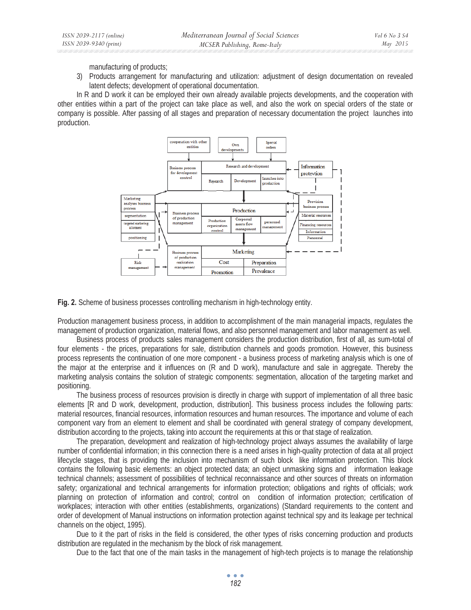manufacturing of products;

3) Products arrangement for manufacturing and utilization: adjustment of design documentation on revealed latent defects; development of operational documentation.

In R and D work it can be employed their own already available projects developments, and the cooperation with other entities within a part of the project can take place as well, and also the work on special orders of the state or company is possible. After passing of all stages and preparation of necessary documentation the project launches into production.



**Fig. 2.** Scheme of business processes controlling mechanism in high-technology entity.

Production management business process, in addition to accomplishment of the main managerial impacts, regulates the management of production organization, material flows, and also personnel management and labor management as well.

Business process of products sales management considers the production distribution, first of all, as sum-total of four elements - the prices, preparations for sale, distribution channels and goods promotion. However, this business process represents the continuation of one more component - a business process of marketing analysis which is one of the major at the enterprise and it influences on (R and D work), manufacture and sale in aggregate. Thereby the marketing analysis contains the solution of strategic components: segmentation, allocation of the targeting market and positioning.

The business process of resources provision is directly in charge with support of implementation of all three basic elements [R and D work, development, production, distribution]. This business process includes the following parts: material resources, financial resources, information resources and human resources. The importance and volume of each component vary from an element to element and shall be coordinated with general strategy of company development, distribution according to the projects, taking into account the requirements at this or that stage of realization.

The preparation, development and realization of high-technology project always assumes the availability of large number of confidential information; in this connection there is a need arises in high-quality protection of data at all project lifecycle stages, that is providing the inclusion into mechanism of such block like information protection. This block contains the following basic elements: an object protected data; an object unmasking signs and information leakage technical channels; assessment of possibilities of technical reconnaissance and other sources of threats on information safety; organizational and technical arrangements for information protection; obligations and rights of officials; work planning on protection of information and control; control on condition of information protection; certification of workplaces; interaction with other entities (establishments, organizations) (Standard requirements to the content and order of development of Manual instructions on information protection against technical spy and its leakage per technical channels on the object, 1995).

Due to it the part of risks in the field is considered, the other types of risks concerning production and products distribution are regulated in the mechanism by the block of risk management.

Due to the fact that one of the main tasks in the management of high-tech projects is to manage the relationship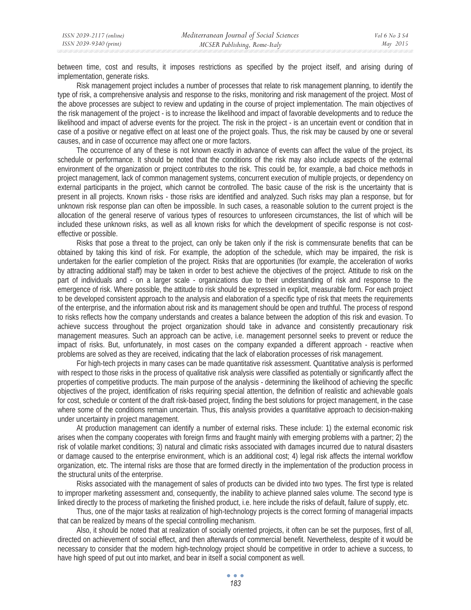between time, cost and results, it imposes restrictions as specified by the project itself, and arising during of implementation, generate risks.

Risk management project includes a number of processes that relate to risk management planning, to identify the type of risk, a comprehensive analysis and response to the risks, monitoring and risk management of the project. Most of the above processes are subject to review and updating in the course of project implementation. The main objectives of the risk management of the project - is to increase the likelihood and impact of favorable developments and to reduce the likelihood and impact of adverse events for the project. The risk in the project - is an uncertain event or condition that in case of a positive or negative effect on at least one of the project goals. Thus, the risk may be caused by one or several causes, and in case of occurrence may affect one or more factors.

The occurrence of any of these is not known exactly in advance of events can affect the value of the project, its schedule or performance. It should be noted that the conditions of the risk may also include aspects of the external environment of the organization or project contributes to the risk. This could be, for example, a bad choice methods in project management, lack of common management systems, concurrent execution of multiple projects, or dependency on external participants in the project, which cannot be controlled. The basic cause of the risk is the uncertainty that is present in all projects. Known risks - those risks are identified and analyzed. Such risks may plan a response, but for unknown risk response plan can often be impossible. In such cases, a reasonable solution to the current project is the allocation of the general reserve of various types of resources to unforeseen circumstances, the list of which will be included these unknown risks, as well as all known risks for which the development of specific response is not costeffective or possible.

Risks that pose a threat to the project, can only be taken only if the risk is commensurate benefits that can be obtained by taking this kind of risk. For example, the adoption of the schedule, which may be impaired, the risk is undertaken for the earlier completion of the project. Risks that are opportunities (for example, the acceleration of works by attracting additional staff) may be taken in order to best achieve the objectives of the project. Attitude to risk on the part of individuals and - on a larger scale - organizations due to their understanding of risk and response to the emergence of risk. Where possible, the attitude to risk should be expressed in explicit, measurable form. For each project to be developed consistent approach to the analysis and elaboration of a specific type of risk that meets the requirements of the enterprise, and the information about risk and its management should be open and truthful. The process of respond to risks reflects how the company understands and creates a balance between the adoption of this risk and evasion. To achieve success throughout the project organization should take in advance and consistently precautionary risk management measures. Such an approach can be active, i.e. management personnel seeks to prevent or reduce the impact of risks. But, unfortunately, in most cases on the company expanded a different approach - reactive when problems are solved as they are received, indicating that the lack of elaboration processes of risk management.

For high-tech projects in many cases can be made quantitative risk assessment. Quantitative analysis is performed with respect to those risks in the process of qualitative risk analysis were classified as potentially or significantly affect the properties of competitive products. The main purpose of the analysis - determining the likelihood of achieving the specific objectives of the project, identification of risks requiring special attention, the definition of realistic and achievable goals for cost, schedule or content of the draft risk-based project, finding the best solutions for project management, in the case where some of the conditions remain uncertain. Thus, this analysis provides a quantitative approach to decision-making under uncertainty in project management.

At production management can identify a number of external risks. These include: 1) the external economic risk arises when the company cooperates with foreign firms and fraught mainly with emerging problems with a partner; 2) the risk of volatile market conditions; 3) natural and climatic risks associated with damages incurred due to natural disasters or damage caused to the enterprise environment, which is an additional cost; 4) legal risk affects the internal workflow organization, etc. The internal risks are those that are formed directly in the implementation of the production process in the structural units of the enterprise.

Risks associated with the management of sales of products can be divided into two types. The first type is related to improper marketing assessment and, consequently, the inability to achieve planned sales volume. The second type is linked directly to the process of marketing the finished product, i.e. here include the risks of default, failure of supply, etc.

Thus, one of the major tasks at realization of high-technology projects is the correct forming of managerial impacts that can be realized by means of the special controlling mechanism.

Also, it should be noted that at realization of socially oriented projects, it often can be set the purposes, first of all, directed on achievement of social effect, and then afterwards of commercial benefit. Nevertheless, despite of it would be necessary to consider that the modern high-technology project should be competitive in order to achieve a success, to have high speed of put out into market, and bear in itself a social component as well.